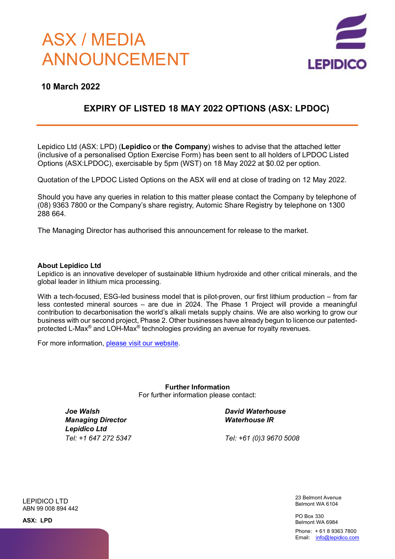# ASX / MEDIA ANNOUNCEMENT



### **10 March 2022**

## **EXPIRY OF LISTED 18 MAY 2022 OPTIONS (ASX: LPDOC)**

 Lepidico Ltd (ASX: LPD) (**Lepidico** or **the Company**) wishes to advise that the attached letter (inclusive of a personalised Option Exercise Form) has been sent to all holders of LPDOC Listed Options (ASX:LPDOC), exercisable by 5pm (WST) on 18 May 2022 at \$0.02 per option.

Quotation of the LPDOC Listed Options on the ASX will end at close of trading on 12 May 2022.

 Should you have any queries in relation to this matter please contact the Company by telephone of (08) 9363 7800 or the Company's share registry, Automic Share Registry by telephone on 1300 288 664.

The Managing Director has authorised this announcement for release to the market.

#### **About Lepidico Ltd**

Lepidico is an innovative developer of sustainable lithium hydroxide and other critical minerals, and the global leader in lithium mica processing.

With a tech-focused, ESG-led business model that is pilot-proven, our first lithium production – from far less contested mineral sources – are due in 2024. The Phase 1 Project will provide a meaningful contribution to decarbonisation the world's alkali metals supply chains. We are also working to grow our business with our second project, Phase 2. Other businesses have already begun to licence our patentedprotected L-Max® and LOH-Max® technologies providing an avenue for royalty revenues.

For more information, please visit our website.

**Further Information** For further information please contact:

*Joe Walsh Managing Director Lepidico Ltd Tel: +1 647 272 5347* *David Waterhouse Waterhouse IR*

*Tel: +61 (0)3 9670 5008*

LEPIDICO LTD ABN 99 008 894 442 23 Belmont Avenue Belmont WA 6104

PO Box 330 Belmont WA 6984

Phone: + 61 8 9363 7800 Email: info@lepidico.com

**ASX: LPD**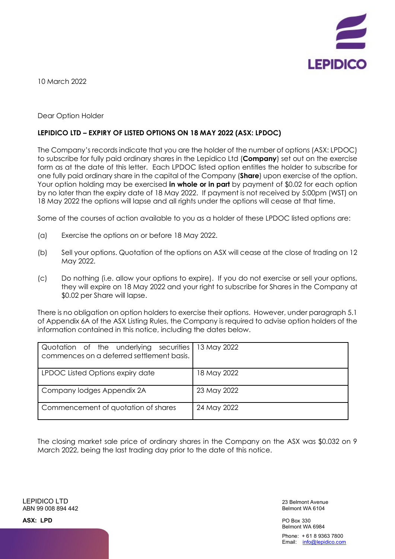

10 March 2022

#### Dear Option Holder

#### **LEPIDICO LTD – EXPIRY OF LISTED OPTIONS ON 18 MAY 2022 (ASX: LPDOC)**

The Company's records indicate that you are the holder of the number of options (ASX: LPDOC) to subscribe for fully paid ordinary shares in the Lepidico Ltd (**Company**) set out on the exercise form as at the date of this letter. Each LPDOC listed option entitles the holder to subscribe for one fully paid ordinary share in the capital of the Company (**Share**) upon exercise of the option. Your option holding may be exercised **in whole or in part** by payment of \$0.02 for each option by no later than the expiry date of 18 May 2022. If payment is not received by 5:00pm (WST) on 18 May 2022 the options will lapse and all rights under the options will cease at that time.

Some of the courses of action available to you as a holder of these LPDOC listed options are:

- (a) Exercise the options on or before 18 May 2022.
- (b) Sell your options. Quotation of the options on ASX will cease at the close of trading on 12 May 2022.
- (c) Do nothing (i.e. allow your options to expire). If you do not exercise or sell your options, they will expire on 18 May 2022 and your right to subscribe for Shares in the Company at \$0.02 per Share will lapse.

There is no obligation on option holders to exercise their options. However, under paragraph 5.1 of Appendix 6A of the ASX Listing Rules, the Company is required to advise option holders of the information contained in this notice, including the dates below.

| Quotation of the underlying securities<br>commences on a deferred settlement basis. | 13 May 2022 |
|-------------------------------------------------------------------------------------|-------------|
| LPDOC Listed Options expiry date                                                    | 18 May 2022 |
| Company lodges Appendix 2A                                                          | 23 May 2022 |
| Commencement of quotation of shares                                                 | 24 May 2022 |

The closing market sale price of ordinary shares in the Company on the ASX was \$0.032 on 9 March 2022, being the last trading day prior to the date of this notice.

LEPIDICO LTD ABN 99 008 894 442

23 Belmont Avenue Belmont WA 6104

PO Box 330 Belmont WA 6984 Phone: + 61 8 9363 7800

Email: info@lepidico.com

**ASX: LPD**